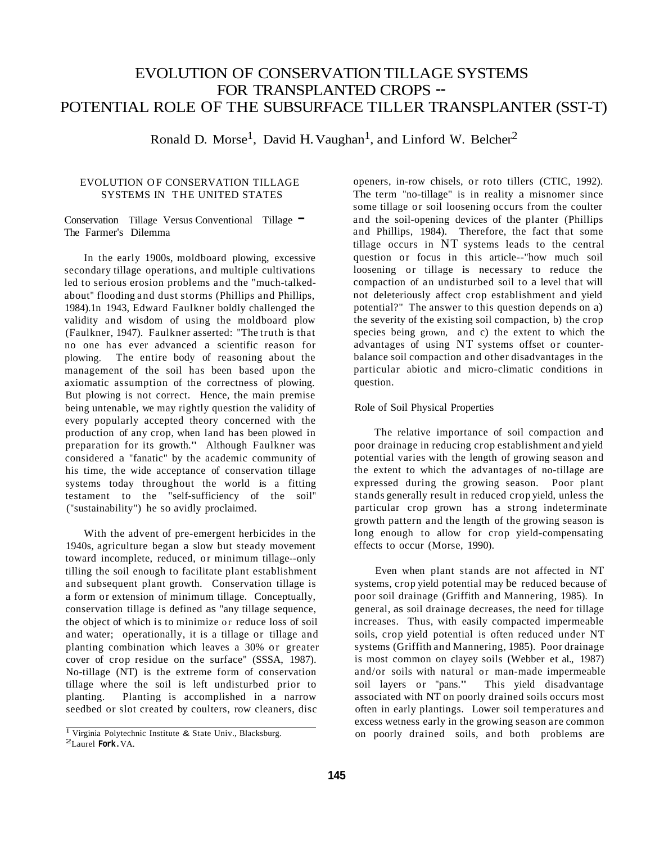# EVOLUTION OF CONSERVATION TILLAGE SYSTEMS FOR TRANSPLANTED CROPS -- POTENTIAL ROLE OF THE SUBSURFACE TILLER TRANSPLANTER (SST-T)

Ronald D. Morse<sup>1</sup>, David H. Vaughan<sup>1</sup>, and Linford W. Belcher<sup>2</sup>

# EVOLUTION OF CONSERVATION TILLAGE SYSTEMS IN THE UNITED STATES

Conservation Tillage Versus Conventional Tillage – The Farmer's Dilemma

In the early 1900s, moldboard plowing, excessive secondary tillage operations, and multiple cultivations led to serious erosion problems and the "much-talkedabout" flooding and dust storms (Phillips and Phillips, 1984).1n 1943, Edward Faulkner boldly challenged the validity and wisdom of using the moldboard plow (Faulkner, 1947). Faulkner asserted: "The truth is that no one has ever advanced a scientific reason for plowing. The entire body of reasoning about the management of the soil has been based upon the axiomatic assumption of the correctness of plowing. But plowing is not correct. Hence, the main premise being untenable, we may rightly question the validity of every popularly accepted theory concerned with the production of any crop, when land has been plowed in preparation for its growth." Although Faulkner was considered a "fanatic" by the academic community of his time, the wide acceptance of conservation tillage systems today throughout the world is a fitting testament to the "self-sufficiency of the soil" ("sustainability") he so avidly proclaimed.

With the advent of pre-emergent herbicides in the 1940s, agriculture began a slow but steady movement toward incomplete, reduced, or minimum tillage--only tilling the soil enough to facilitate plant establishment and subsequent plant growth. Conservation tillage is a form or extension of minimum tillage. Conceptually, conservation tillage is defined as "any tillage sequence, the object of which is to minimize or reduce loss of soil and water; operationally, it is a tillage or tillage and planting combination which leaves a 30% or greater cover of crop residue on the surface" (SSSA, 1987). No-tillage (NT) is the extreme form of conservation tillage where the soil is left undisturbed prior to planting. Planting is accomplished in a narrow seedbed or slot created by coulters, row cleaners, disc

openers, in-row chisels, or roto tillers (CTIC, 1992). The term "no-tillage" is in reality a misnomer since some tillage or soil loosening occurs from the coulter and the soil-opening devices of the planter (Phillips and Phillips, 1984). Therefore, the fact that some tillage occurs in NT systems leads to the central question or focus in this article--"how much soil loosening or tillage is necessary to reduce the compaction of an undisturbed soil to a level that will not deleteriously affect crop establishment and yield potential?" The answer to this question depends on a) the severity of the existing soil compaction, b) the crop species being grown, and c) the extent to which the advantages of using NT systems offset or counterbalance soil compaction and other disadvantages in the particular abiotic and micro-climatic conditions in question.

# Role of Soil Physical Properties

The relative importance of soil compaction and poor drainage in reducing crop establishment and yield potential varies with the length of growing season and the extent to which the advantages of no-tillage are expressed during the growing season. Poor plant stands generally result in reduced crop yield, unless the particular crop grown has a strong indeterminate growth pattern and the length of the growing season is long enough to allow for crop yield-compensating effects to occur (Morse, 1990).

Even when plant stands are not affected in NT systems, crop yield potential may be reduced because of poor soil drainage (Griffith and Mannering, 1985). In general, as soil drainage decreases, the need for tillage increases. Thus, with easily compacted impermeable soils, crop yield potential is often reduced under NT systems (Griffith and Mannering, 1985). Poor drainage is most common on clayey soils (Webber et al., 1987) and/or soils with natural or man-made impermeable soil layers or "pans." This yield disadvantage associated with NT on poorly drained soils occurs most often in early plantings. Lower soil temperatures and excess wetness early in the growing season are common on poorly drained soils, and both problems are

**<sup>1</sup>**Virginia Polytechnic Institute & State Univ., Blacksburg. 2Laurel **Fork.**VA.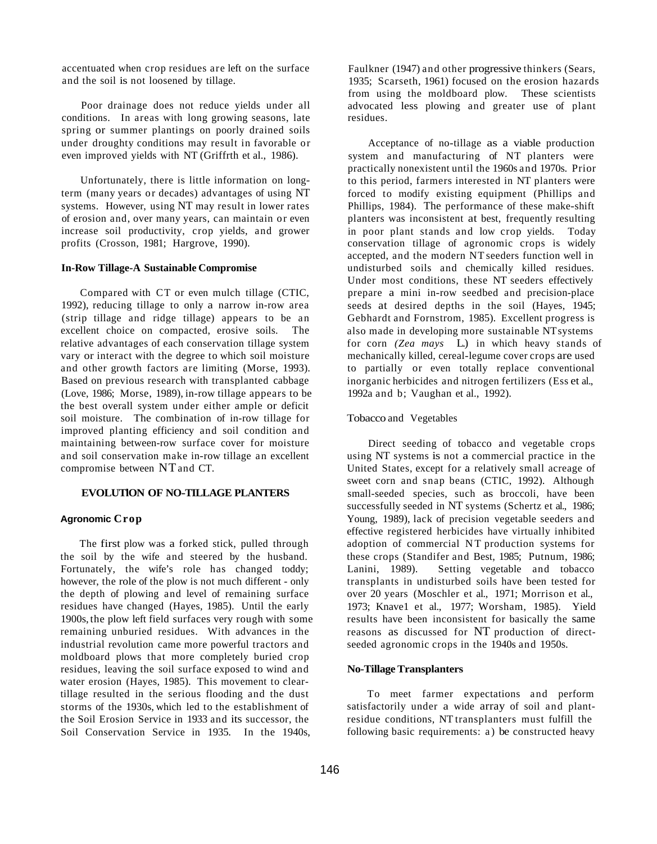accentuated when crop residues are left on the surface and the soil is not loosened by tillage.

Poor drainage does not reduce yields under all conditions. In areas with long growing seasons, late spring or summer plantings on poorly drained soils under droughty conditions may result in favorable or even improved yields with NT (Griffrth et al., 1986).

Unfortunately, there is little information on longterm (many years or decades) advantages of using NT systems. However, using NT may result in lower rates of erosion and, over many years, can maintain or even increase soil productivity, crop yields, and grower profits (Crosson, 1981; Hargrove, 1990).

#### **In-Row Tillage-A Sustainable Compromise**

Compared with CT or even mulch tillage (CTIC, 1992), reducing tillage to only a narrow in-row area (strip tillage and ridge tillage) appears to be an excellent choice on compacted, erosive soils. The relative advantages of each conservation tillage system vary or interact with the degree to which soil moisture and other growth factors are limiting (Morse, 1993). Based on previous research with transplanted cabbage (Love, 1986; Morse, 1989), in-row tillage appears to be the best overall system under either ample or deficit soil moisture. The combination of in-row tillage for improved planting efficiency and soil condition and maintaining between-row surface cover for moisture and soil conservation make in-row tillage an excellent compromise between NTand CT.

## **EVOLUTlON OF NO-TILLAGE PLANTERS**

### **Agronomic Crop**

The first plow was a forked stick, pulled through the soil by the wife and steered by the husband. Fortunately, the wife's role has changed toddy; however, the role of the plow is not much different - only the depth of plowing and level of remaining surface residues have changed (Hayes, 1985). Until the early 1900s, the plow left field surfaces very rough with some remaining unburied residues. With advances in the industrial revolution came more powerful tractors and moldboard plows that more completely buried crop residues, leaving the soil surface exposed to wind and water erosion (Hayes, 1985). This movement to cleartillage resulted in the serious flooding and the dust storms of the 1930s, which led to the establishment of the Soil Erosion Service in 1933 and its successor, the Soil Conservation Service in 1935. In the 1940s,

Faulkner (1947) and other progressive thinkers (Sears, 1935; Scarseth, 1961) focused on the erosion hazards from using the moldboard plow. These scientists advocated less plowing and greater use of plant residues.

Acceptance of no-tillage as a viable production system and manufacturing of NT planters were practically nonexistent until the 1960s and 1970s. Prior to this period, farmers interested in NT planters were forced to modify existing equipment (Phillips and Phillips, 1984). The performance of these make-shift planters was inconsistent at best, frequently resulting in poor plant stands and low crop yields. Today conservation tillage of agronomic crops is widely accepted, and the modern NT seeders function well in undisturbed soils and chemically killed residues. Under most conditions, these NT seeders effectively prepare a mini in-row seedbed and precision-place seeds at desired depths in the soil (Hayes, 1945; Gebhardt and Fornstrom, 1985). Excellent progress is also made in developing more sustainable NTsystems for corn *(Zea mays* L.) in which heavy stands of mechanically killed, cereal-legume cover crops are used to partially or even totally replace conventional inorganic herbicides and nitrogen fertilizers (Ess et al., 1992a and b; Vaughan et al., 1992).

#### Tobacco and Vegetables

Direct seeding of tobacco and vegetable crops using NT systems is not a commercial practice in the United States, except for a relatively small acreage of sweet corn and snap beans (CTIC, 1992). Although small-seeded species, such as broccoli, have been successfully seeded in NT systems (Schertz et al., 1986; Young, 1989), lack of precision vegetable seeders and effective registered herbicides have virtually inhibited adoption of commercial NT production systems for these crops (Standifer and Best, 1985; Putnum, 1986; Lanini, 1989). Setting vegetable and tobacco transplants in undisturbed soils have been tested for over 20 years (Moschler et al., 1971; Morrison et al., 1973; Knave1 et al., 1977; Worsham, 1985). Yield results have been inconsistent for basically the same reasons as discussed for NT production of directseeded agronomic crops in the 1940s and 1950s.

#### **No-Tillage Transplanters**

To meet farmer expectations and perform satisfactorily under a wide array of soil and plantresidue conditions, NT transplanters must fulfill the following basic requirements: a) be constructed heavy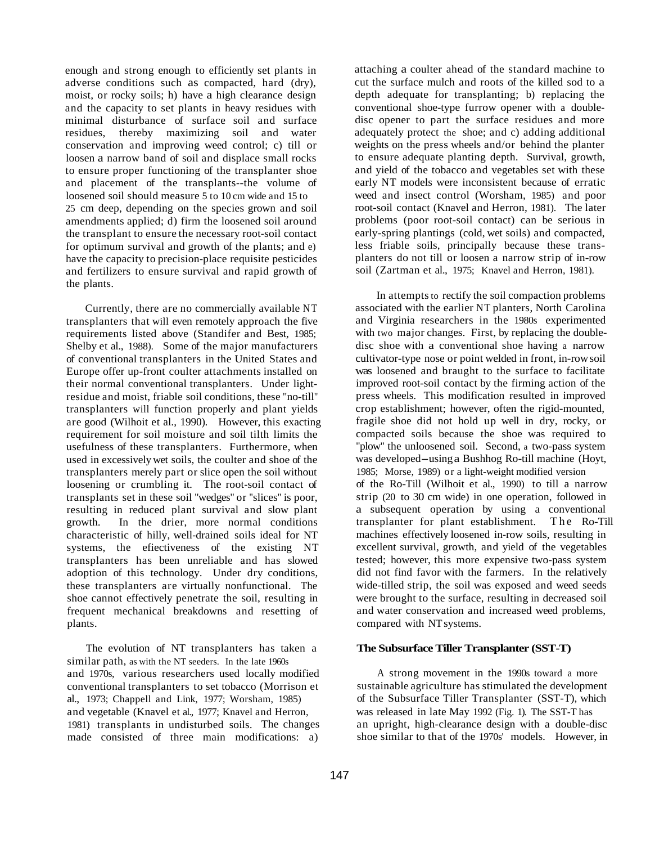enough and strong enough to efficiently set plants in adverse conditions such as compacted, hard (dry), moist, or rocky soils; h) have a high clearance design and the capacity to set plants in heavy residues with minimal disturbance of surface soil and surface residues, thereby maximizing soil and water conservation and improving weed control; c) till or loosen a narrow band of soil and displace small rocks to ensure proper functioning of the transplanter shoe and placement of the transplants--the volume of loosened soil should measure 5 to 10 cm wide and 15 to 25 cm deep, depending on the species grown and soil amendments applied; d) firm the loosened soil around the transplant to ensure the necessary root-soil contact for optimum survival and growth of the plants; and e) have the capacity to precision-place requisite pesticides and fertilizers to ensure survival and rapid growth of the plants.

Currently, there are no commercially available NT transplanters that will even remotely approach the five requirements listed above (Standifer and Best, 1985; Shelby et al., 1988). Some of the major manufacturers of conventional transplanters in the United States and Europe offer up-front coulter attachments installed on their normal conventional transplanters. Under lightresidue and moist, friable soil conditions, these "no-till" transplanters will function properly and plant yields are good (Wilhoit et al., 1990). However, this exacting requirement for soil moisture and soil tilth limits the usefulness of these transplanters. Furthermore, when used in excessively wet soils, the coulter and shoe of the transplanters merely part or slice open the soil without loosening or crumbling it. The root-soil contact of transplants set in these soil "wedges" or "slices" is poor, resulting in reduced plant survival and slow plant growth. In the drier, more normal conditions characteristic of hilly, well-drained soils ideal for NT systems, the efiectiveness of the existing NT transplanters has been unreliable and has slowed adoption of this technology. Under dry conditions, these transplanters are virtually nonfunctional. The shoe cannot effectively penetrate the soil, resulting in frequent mechanical breakdowns and resetting of plants.

The evolution of NT transplanters has taken a similar path, as with the NT seeders. In the late 1960s and 1970s, various researchers used locally modified conventional transplanters to set tobacco (Morrison et al., 1973; Chappell and Link, 1977; Worsham, 1985) and vegetable (Knavel et al., 1977; Knavel and Herron, 1981) transplants in undisturbed soils. The changes made consisted of three main modifications: a)

attaching a coulter ahead of the standard machine to cut the surface mulch and roots of the killed sod to a depth adequate for transplanting; b) replacing the conventional shoe-type furrow opener with a doubledisc opener to part the surface residues and more adequately protect the shoe; and c) adding additional weights on the press wheels and/or behind the planter to ensure adequate planting depth. Survival, growth, and yield of the tobacco and vegetables set with these early NT models were inconsistent because of erratic weed and insect control (Worsham, 1985) and poor root-soil contact (Knavel and Herron, 1981). The later problems (poor root-soil contact) can be serious in early-spring plantings (cold, wet soils) and compacted, less friable soils, principally because these transplanters do not till or loosen a narrow strip of in-row soil (Zartman et al., 1975; Knavel and Herron, 1981).

In attempts to rectify the soil compaction problems associated with the earlier NT planters, North Carolina and Virginia researchers in the 1980s experimented with two major changes. First, by replacing the doubledisc shoe with a conventional shoe having a narrow cultivator-type nose or point welded in front, in-row soil was loosened and braught to the surface to facilitate improved root-soil contact by the firming action of the press wheels. This modification resulted in improved crop establishment; however, often the rigid-mounted, fragile shoe did not hold up well in dry, rocky, or compacted soils because the shoe was required to "plow" the unloosened soil. Second, a two-pass system was developed-using a Bushhog Ro-till machine (Hoyt, 1985; Morse, 1989) or a light-weight modified version of the Ro-Till (Wilhoit et al., 1990) to till a narrow strip (20 to 30 cm wide) in one operation, followed in a subsequent operation by using a conventional transplanter for plant establishment. The Ro-Till machines effectively loosened in-row soils, resulting in excellent survival, growth, and yield of the vegetables tested; however, this more expensive two-pass system did not find favor with the farmers. In the relatively wide-tilled strip, the soil was exposed and weed seeds were brought to the surface, resulting in decreased soil and water conservation and increased weed problems, compared with NT systems.

### **The Subsurface Tiller Transplanter (SST-T)**

A strong movement in the 1990s toward a more sustainable agriculture has stimulated the development of the Subsurface Tiller Transplanter (SST-T), which was released in late May 1992 (Fig. 1). The SST-T has an upright, high-clearance design with a double-disc shoe similar to that of the 1970s' models. However, in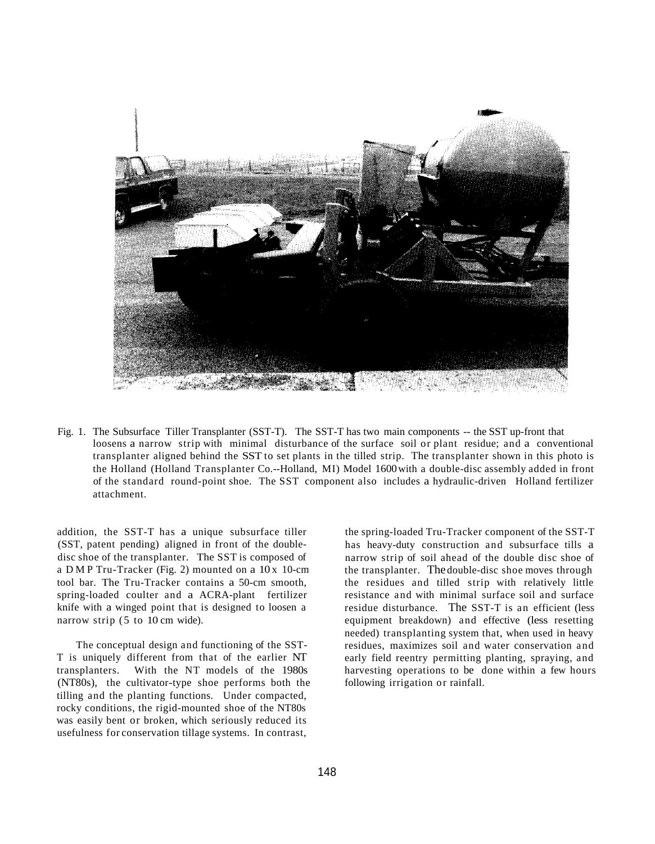

Fig. 1. The Subsurface Tiller Transplanter (SST-T). The SST-T has two main components -- the SST up-front that loosens a narrow strip with minimal disturbance of the surface soil or plant residue; and a conventional transplanter aligned behind the SST to set plants in the tilled strip. The transplanter shown in this photo is the Holland (Holland Transplanter Co.--Holland, MI) Model 1600 with a double-disc assembly added in front of the standard round-point shoe. The SST component also includes a hydraulic-driven Holland fertilizer attachment.

addition, the SST-T has a unique subsurface tiller (SST, patent pending) aligned in front of the doubledisc shoe of the transplanter. The SST is composed of a DMP Tru-Tracker (Fig. 2) mounted on a  $10x$  10-cm tool bar. The Tru-Tracker contains a 50-cm smooth, spring-loaded coulter and a ACRA-plant fertilizer knife with a winged point that is designed to loosen a narrow strip (5 to 10 cm wide).

The conceptual design and functioning of the SST-T is uniquely different from that of the earlier NT transplanters. With the NT models of the 1980s (NT80s), the cultivator-type shoe performs both the tilling and the planting functions. Under compacted, rocky conditions, the rigid-mounted shoe of the NT80s was easily bent or broken, which seriously reduced its usefulness for conservation tillage systems. In contrast,

the spring-loaded Tru-Tracker component of the SST-T has heavy-duty construction and subsurface tills a narrow strip of soil ahead of the double disc shoe of the transplanter. The double-disc shoe moves through the residues and tilled strip with relatively little resistance and with minimal surface soil and surface residue disturbance. The SST-T is an efficient (less equipment breakdown) and effective (less resetting needed) transplanting system that, when used in heavy residues, maximizes soil and water conservation and early field reentry permitting planting, spraying, and harvesting operations to be done within a few hours following irrigation or rainfall.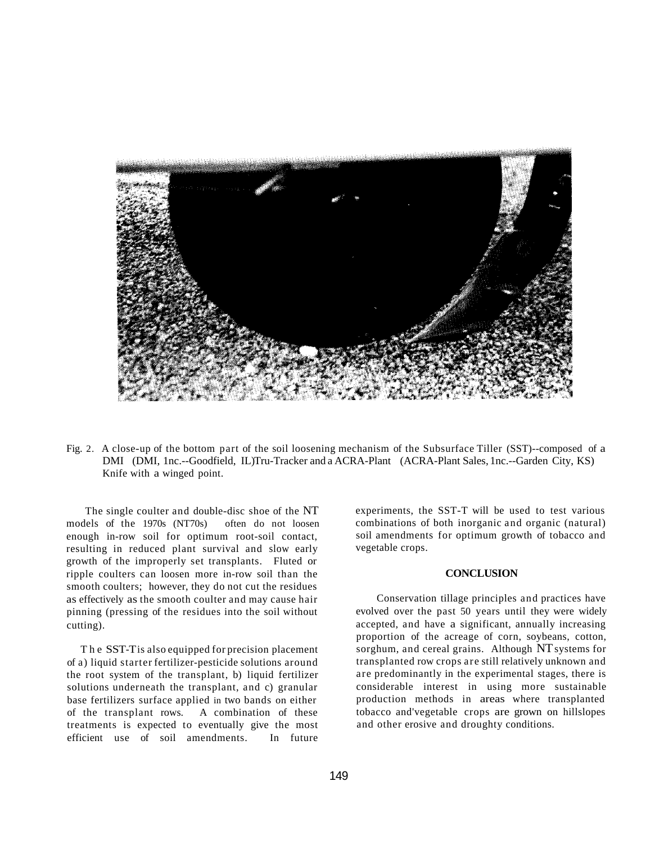

Fig. 2. A close-up of the bottom part of the soil loosening mechanism of the Subsurface Tiller (SST)--composed of a DMI (DMI, 1nc.--Goodfield, IL)Tru-Tracker and a ACRA-Plant (ACRA-Plant Sales, 1nc.--Garden City, KS) Knife with a winged point.

The single coulter and double-disc shoe of the NT models of the 1970s (NT70s) often do not loosen enough in-row soil for optimum root-soil contact, resulting in reduced plant survival and slow early growth of the improperly set transplants. Fluted or ripple coulters can loosen more in-row soil than the smooth coulters; however, they do not cut the residues as effectively as the smooth coulter and may cause hair pinning (pressing of the residues into the soil without cutting).

The SST-Tis also equipped for precision placement of a) liquid starter fertilizer-pesticide solutions around the root system of the transplant, b) liquid fertilizer solutions underneath the transplant, and c) granular base fertilizers surface applied in two bands on either of the transplant rows. A combination of these treatments is expected to eventually give the most efficient use of soil amendments. In future

experiments, the SST-T will be used to test various combinations of both inorganic and organic (natural) soil amendments for optimum growth of tobacco and vegetable crops.

### **CONCLUSION**

Conservation tillage principles and practices have evolved over the past 50 years until they were widely accepted, and have a significant, annually increasing proportion of the acreage of corn, soybeans, cotton, sorghum, and cereal grains. Although NT systems for transplanted row crops are still relatively unknown and are predominantly in the experimental stages, there is considerable interest in using more sustainable production methods in areas where transplanted tobacco and'vegetable crops are grown on hillslopes and other erosive and droughty conditions.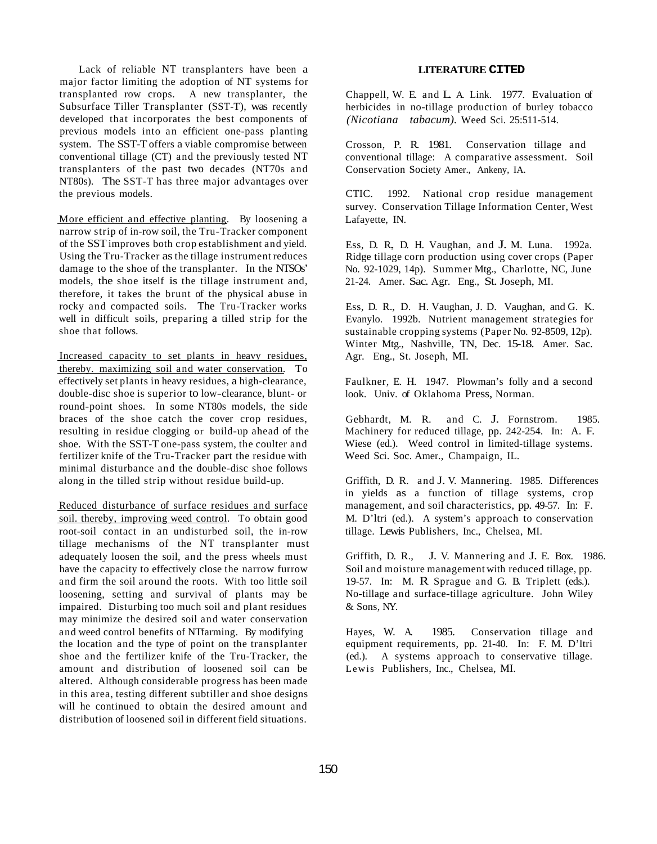Lack of reliable NT transplanters have been a major factor limiting the adoption of NT systems for transplanted row crops. A new transplanter, the Subsurface Tiller Transplanter (SST-T), was recently developed that incorporates the best components of previous models into an efficient one-pass planting system. The SST-T offers a viable compromise between conventional tillage (CT) and the previously tested NT transplanters of the past two decades (NT70s and NT80s). The SST-T has three major advantages over the previous models.

More efficient and effective planting. By loosening a narrow strip of in-row soil, the Tru-Tracker component of the SST improves both crop establishment and yield. Using the Tru-Tracker as the tillage instrument reduces damage to the shoe of the transplanter. In the NTSOs' models, the shoe itself is the tillage instrument and, therefore, it takes the brunt of the physical abuse in rocky and compacted soils. The Tru-Tracker works well in difficult soils, preparing a tilled strip for the shoe that follows.

Increased capacity to set plants in heavy residues, thereby. maximizing soil and water conservation. To effectively set plants in heavy residues, a high-clearance, double-disc shoe is superior to low-clearance, blunt- or round-point shoes. In some NT80s models, the side braces of the shoe catch the cover crop residues, resulting in residue clogging or build-up ahead of the shoe. With the SST-T one-pass system, the coulter and fertilizer knife of the Tru-Tracker part the residue with minimal disturbance and the double-disc shoe follows along in the tilled strip without residue build-up.

Reduced disturbance of surface residues and surface soil. thereby, improving weed control. To obtain good root-soil contact in an undisturbed soil, the in-row tillage mechanisms of the NT transplanter must adequately loosen the soil, and the press wheels must have the capacity to effectively close the narrow furrow and firm the soil around the roots. With too little soil loosening, setting and survival of plants may be impaired. Disturbing too much soil and plant residues may minimize the desired soil and water conservation and weed control benefits of NTfarming. By modifying the location and the type of point on the transplanter shoe and the fertilizer knife of the Tru-Tracker, the amount and distribution of loosened soil can be altered. Although considerable progress has been made in this area, testing different subtiller and shoe designs will he continued to obtain the desired amount and distribution of loosened soil in different field situations.

#### **LITERATURE CITED**

Chappell, W. E. and L. A. Link. 1977. Evaluation of herbicides in no-tillage production of burley tobacco *(Nicotiana tabacum).* Weed Sci. 25:511-514.

Crosson, P. R. 1981. Conservation tillage and conventional tillage: A comparative assessment. Soil Conservation Society Amer., Ankeny, IA.

CTIC. 1992. National crop residue management survey. Conservation Tillage Information Center, West Lafayette, IN.

Ess, D. R., D. H. Vaughan, and J. M. Luna. 1992a. Ridge tillage corn production using cover crops (Paper No. 92-1029, 14p). Summer Mtg., Charlotte, NC, June 21-24. Amer. Sac. Agr. Eng., St. Joseph, MI.

Ess, D. R., D. H. Vaughan, J. D. Vaughan, and G. K. Evanylo. 1992b. Nutrient management strategies for sustainable cropping systems (Paper No. 92-8509, 12p). Winter Mtg., Nashville, TN, Dec. 15-18. Amer. Sac. Agr. Eng., St. Joseph, MI.

Faulkner, E. H. 1947. Plowman's folly and a second look. Univ. of Oklahoma Press, Norman.

Gebhardt, M. R. and C. J. Fornstrom. 1985. Machinery for reduced tillage, pp. 242-254. In: A. F. Wiese (ed.). Weed control in limited-tillage systems. Weed Sci. Soc. Amer., Champaign, IL.

Griffith, D. R. and J. V. Mannering. 1985. Differences in yields as a function of tillage systems, crop management, and soil characteristics, pp. 49-57. In: F. M. D'ltri (ed.). A system's approach to conservation tillage. Lewis Publishers, Inc., Chelsea, MI.

Griffith, D. R., J. V. Mannering and J. E. Box. 1986. Soil and moisture management with reduced tillage, pp. 19-57. In: M. R Sprague and G. B. Triplett (eds.). No-tillage and surface-tillage agriculture. John Wiley & Sons, NY.

Hayes, W. A. 1985. Conservation tillage and equipment requirements, pp. 21-40. In: F. M. D'ltri (ed.). A systems approach to conservative tillage. Lewis Publishers, Inc., Chelsea, MI.